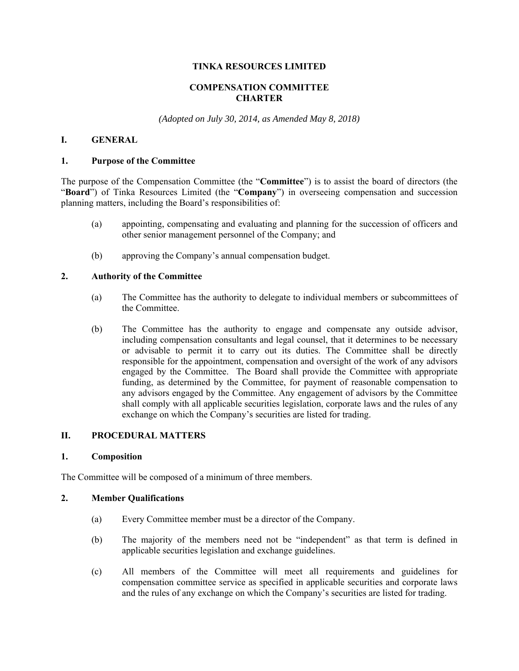## **TINKA RESOURCES LIMITED**

# **COMPENSATION COMMITTEE CHARTER**

*(Adopted on July 30, 2014, as Amended May 8, 2018)* 

# **I. GENERAL**

#### **1. Purpose of the Committee**

The purpose of the Compensation Committee (the "**Committee**") is to assist the board of directors (the "**Board**") of Tinka Resources Limited (the "**Company**") in overseeing compensation and succession planning matters, including the Board's responsibilities of:

- (a) appointing, compensating and evaluating and planning for the succession of officers and other senior management personnel of the Company; and
- (b) approving the Company's annual compensation budget.

#### **2. Authority of the Committee**

- (a) The Committee has the authority to delegate to individual members or subcommittees of the Committee.
- (b) The Committee has the authority to engage and compensate any outside advisor, including compensation consultants and legal counsel, that it determines to be necessary or advisable to permit it to carry out its duties. The Committee shall be directly responsible for the appointment, compensation and oversight of the work of any advisors engaged by the Committee. The Board shall provide the Committee with appropriate funding, as determined by the Committee, for payment of reasonable compensation to any advisors engaged by the Committee. Any engagement of advisors by the Committee shall comply with all applicable securities legislation, corporate laws and the rules of any exchange on which the Company's securities are listed for trading.

## **II. PROCEDURAL MATTERS**

#### **1. Composition**

The Committee will be composed of a minimum of three members.

#### **2. Member Qualifications**

- (a) Every Committee member must be a director of the Company.
- (b) The majority of the members need not be "independent" as that term is defined in applicable securities legislation and exchange guidelines.
- (c) All members of the Committee will meet all requirements and guidelines for compensation committee service as specified in applicable securities and corporate laws and the rules of any exchange on which the Company's securities are listed for trading.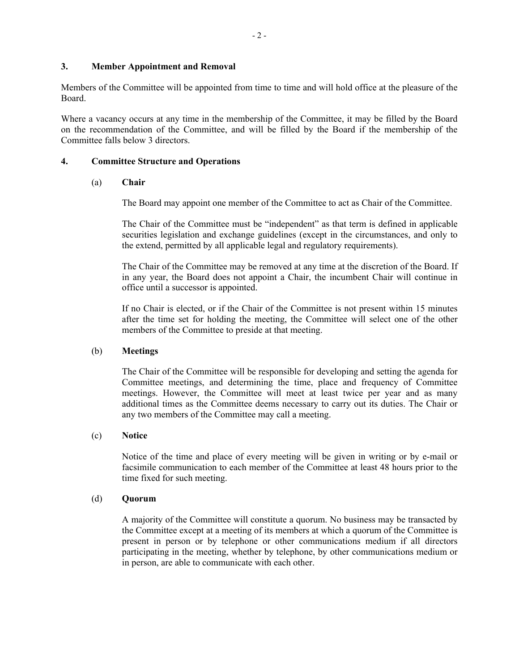#### **3. Member Appointment and Removal**

Members of the Committee will be appointed from time to time and will hold office at the pleasure of the Board.

Where a vacancy occurs at any time in the membership of the Committee, it may be filled by the Board on the recommendation of the Committee, and will be filled by the Board if the membership of the Committee falls below 3 directors.

## **4. Committee Structure and Operations**

#### (a) **Chair**

The Board may appoint one member of the Committee to act as Chair of the Committee.

The Chair of the Committee must be "independent" as that term is defined in applicable securities legislation and exchange guidelines (except in the circumstances, and only to the extend, permitted by all applicable legal and regulatory requirements).

The Chair of the Committee may be removed at any time at the discretion of the Board. If in any year, the Board does not appoint a Chair, the incumbent Chair will continue in office until a successor is appointed.

If no Chair is elected, or if the Chair of the Committee is not present within 15 minutes after the time set for holding the meeting, the Committee will select one of the other members of the Committee to preside at that meeting.

#### (b) **Meetings**

The Chair of the Committee will be responsible for developing and setting the agenda for Committee meetings, and determining the time, place and frequency of Committee meetings. However, the Committee will meet at least twice per year and as many additional times as the Committee deems necessary to carry out its duties. The Chair or any two members of the Committee may call a meeting.

#### (c) **Notice**

Notice of the time and place of every meeting will be given in writing or by e-mail or facsimile communication to each member of the Committee at least 48 hours prior to the time fixed for such meeting.

#### (d) **Quorum**

A majority of the Committee will constitute a quorum. No business may be transacted by the Committee except at a meeting of its members at which a quorum of the Committee is present in person or by telephone or other communications medium if all directors participating in the meeting, whether by telephone, by other communications medium or in person, are able to communicate with each other.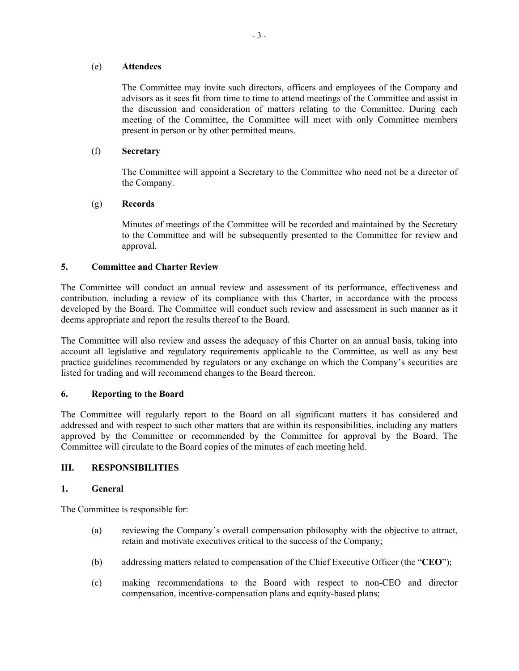#### (e) **Attendees**

The Committee may invite such directors, officers and employees of the Company and advisors as it sees fit from time to time to attend meetings of the Committee and assist in the discussion and consideration of matters relating to the Committee. During each meeting of the Committee, the Committee will meet with only Committee members present in person or by other permitted means.

## (f) **Secretary**

The Committee will appoint a Secretary to the Committee who need not be a director of the Company.

## (g) **Records**

Minutes of meetings of the Committee will be recorded and maintained by the Secretary to the Committee and will be subsequently presented to the Committee for review and approval.

## **5. Committee and Charter Review**

The Committee will conduct an annual review and assessment of its performance, effectiveness and contribution, including a review of its compliance with this Charter, in accordance with the process developed by the Board. The Committee will conduct such review and assessment in such manner as it deems appropriate and report the results thereof to the Board.

The Committee will also review and assess the adequacy of this Charter on an annual basis, taking into account all legislative and regulatory requirements applicable to the Committee, as well as any best practice guidelines recommended by regulators or any exchange on which the Company's securities are listed for trading and will recommend changes to the Board thereon.

## **6. Reporting to the Board**

The Committee will regularly report to the Board on all significant matters it has considered and addressed and with respect to such other matters that are within its responsibilities, including any matters approved by the Committee or recommended by the Committee for approval by the Board. The Committee will circulate to the Board copies of the minutes of each meeting held.

## **III. RESPONSIBILITIES**

## **1. General**

The Committee is responsible for:

- (a) reviewing the Company's overall compensation philosophy with the objective to attract, retain and motivate executives critical to the success of the Company;
- (b) addressing matters related to compensation of the Chief Executive Officer (the "**CEO**");
- (c) making recommendations to the Board with respect to non-CEO and director compensation, incentive-compensation plans and equity-based plans;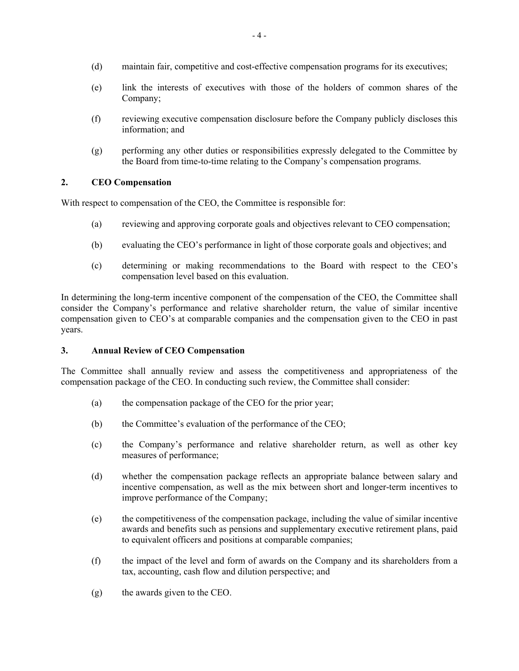- (d) maintain fair, competitive and cost-effective compensation programs for its executives;
- (e) link the interests of executives with those of the holders of common shares of the Company;
- (f) reviewing executive compensation disclosure before the Company publicly discloses this information; and
- (g) performing any other duties or responsibilities expressly delegated to the Committee by the Board from time-to-time relating to the Company's compensation programs.

# **2. CEO Compensation**

With respect to compensation of the CEO, the Committee is responsible for:

- (a) reviewing and approving corporate goals and objectives relevant to CEO compensation;
- (b) evaluating the CEO's performance in light of those corporate goals and objectives; and
- (c) determining or making recommendations to the Board with respect to the CEO's compensation level based on this evaluation.

In determining the long-term incentive component of the compensation of the CEO, the Committee shall consider the Company's performance and relative shareholder return, the value of similar incentive compensation given to CEO's at comparable companies and the compensation given to the CEO in past years.

## **3. Annual Review of CEO Compensation**

The Committee shall annually review and assess the competitiveness and appropriateness of the compensation package of the CEO. In conducting such review, the Committee shall consider:

- (a) the compensation package of the CEO for the prior year;
- (b) the Committee's evaluation of the performance of the CEO;
- (c) the Company's performance and relative shareholder return, as well as other key measures of performance;
- (d) whether the compensation package reflects an appropriate balance between salary and incentive compensation, as well as the mix between short and longer-term incentives to improve performance of the Company;
- (e) the competitiveness of the compensation package, including the value of similar incentive awards and benefits such as pensions and supplementary executive retirement plans, paid to equivalent officers and positions at comparable companies;
- (f) the impact of the level and form of awards on the Company and its shareholders from a tax, accounting, cash flow and dilution perspective; and
- (g) the awards given to the CEO.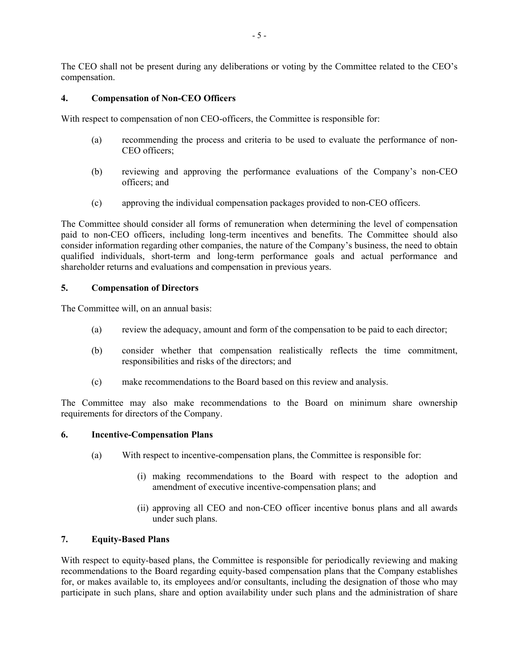The CEO shall not be present during any deliberations or voting by the Committee related to the CEO's compensation.

# **4. Compensation of Non-CEO Officers**

With respect to compensation of non CEO-officers, the Committee is responsible for:

- (a) recommending the process and criteria to be used to evaluate the performance of non-CEO officers;
- (b) reviewing and approving the performance evaluations of the Company's non-CEO officers; and
- (c) approving the individual compensation packages provided to non-CEO officers.

The Committee should consider all forms of remuneration when determining the level of compensation paid to non-CEO officers, including long-term incentives and benefits. The Committee should also consider information regarding other companies, the nature of the Company's business, the need to obtain qualified individuals, short-term and long-term performance goals and actual performance and shareholder returns and evaluations and compensation in previous years.

## **5. Compensation of Directors**

The Committee will, on an annual basis:

- (a) review the adequacy, amount and form of the compensation to be paid to each director;
- (b) consider whether that compensation realistically reflects the time commitment, responsibilities and risks of the directors; and
- (c) make recommendations to the Board based on this review and analysis.

The Committee may also make recommendations to the Board on minimum share ownership requirements for directors of the Company.

## **6. Incentive-Compensation Plans**

- (a) With respect to incentive-compensation plans, the Committee is responsible for:
	- (i) making recommendations to the Board with respect to the adoption and amendment of executive incentive-compensation plans; and
	- (ii) approving all CEO and non-CEO officer incentive bonus plans and all awards under such plans.

## **7. Equity-Based Plans**

With respect to equity-based plans, the Committee is responsible for periodically reviewing and making recommendations to the Board regarding equity-based compensation plans that the Company establishes for, or makes available to, its employees and/or consultants, including the designation of those who may participate in such plans, share and option availability under such plans and the administration of share